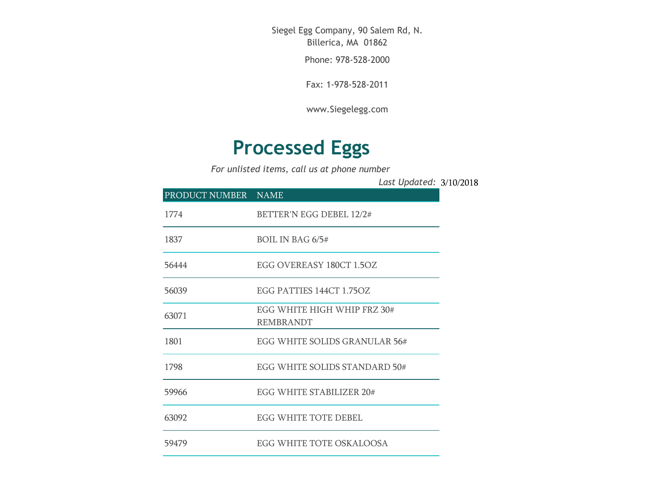Siegel Egg Company, 90 Salem Rd, N. Billerica, MA 01862

Phone: 978-528-2000

Fax: 1-978-528-2011

[www.Siegelegg.com](http://www.siegelegg.com/)

## **Processed Eggs**

*For unlisted items, call us at phone number*

3/10/2018 *Last Updated:*

| PRODUCT NUMBER NAME |                                                 |
|---------------------|-------------------------------------------------|
| 1774                | BETTER'N EGG DEBEL 12/2#                        |
| 1837                | BOIL IN BAG $6/5#$                              |
| 56444               | EGG OVEREASY 180CT 1.5OZ                        |
| 56039               | EGG PATTIES 144CT 1.75OZ                        |
| 63071               | EGG WHITE HIGH WHIP FRZ 30#<br><b>REMBRANDT</b> |
| 1801                | EGG WHITE SOLIDS GRANULAR 56#                   |
| 1798                | EGG WHITE SOLIDS STANDARD 50#                   |
| 59966               | EGG WHITE STABILIZER 20#                        |
| 63092               | EGG WHITE TOTE DEBEL                            |
| 59479               | EGG WHITE TOTE OSKALOOSA                        |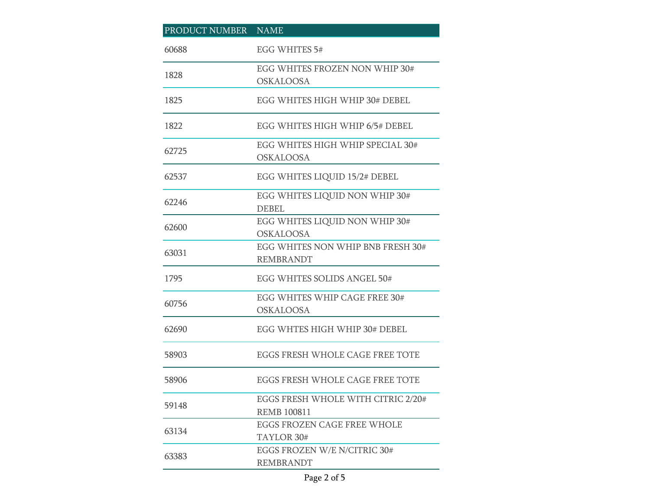| PRODUCT NUMBER NAME |                                                          |
|---------------------|----------------------------------------------------------|
| 60688               | EGG WHITES 5#                                            |
| 1828                | EGG WHITES FROZEN NON WHIP 30#<br><b>OSKALOOSA</b>       |
| 1825                | EGG WHITES HIGH WHIP 30# DEBEL                           |
| 1822                | EGG WHITES HIGH WHIP 6/5# DEBEL                          |
| 62725               | EGG WHITES HIGH WHIP SPECIAL 30#<br><b>OSKALOOSA</b>     |
| 62537               | EGG WHITES LIQUID 15/2# DEBEL                            |
| 62246               | EGG WHITES LIQUID NON WHIP 30#<br><b>DEBEL</b>           |
| 62600               | EGG WHITES LIQUID NON WHIP 30#<br><b>OSKALOOSA</b>       |
| 63031               | EGG WHITES NON WHIP BNB FRESH 30#<br><b>REMBRANDT</b>    |
| 1795                | EGG WHITES SOLIDS ANGEL 50#                              |
| 60756               | EGG WHITES WHIP CAGE FREE 30#<br><b>OSKALOOSA</b>        |
| 62690               | EGG WHTES HIGH WHIP 30# DEBEL                            |
| 58903               | EGGS FRESH WHOLE CAGE FREE TOTE                          |
| 58906               | EGGS FRESH WHOLE CAGE FREE TOTE                          |
| 59148               | EGGS FRESH WHOLE WITH CITRIC 2/20#<br><b>REMB 100811</b> |
| 63134               | EGGS FROZEN CAGE FREE WHOLE<br>TAYLOR 30#                |
| 63383               | EGGS FROZEN W/E N/CITRIC 30#<br><b>REMBRANDT</b>         |

## Page 2 of 5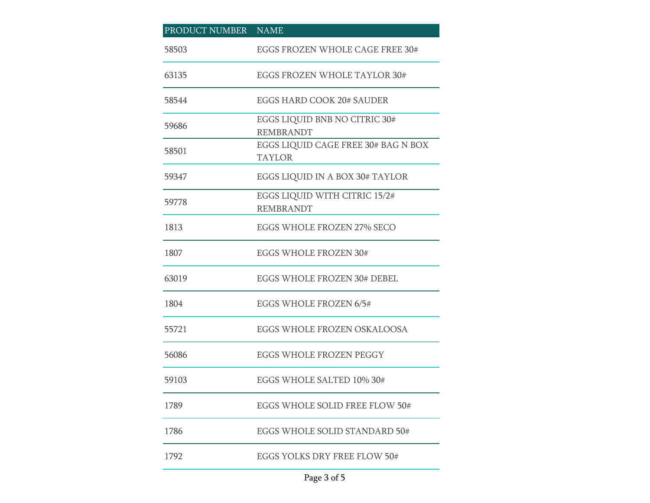| PRODUCT NUMBER NAME |                                                      |
|---------------------|------------------------------------------------------|
| 58503               | EGGS FROZEN WHOLE CAGE FREE 30#                      |
| 63135               | EGGS FROZEN WHOLE TAYLOR 30#                         |
| 58544               | EGGS HARD COOK 20# SAUDER                            |
| 59686               | EGGS LIQUID BNB NO CITRIC 30#<br><b>REMBRANDT</b>    |
| 58501               | EGGS LIQUID CAGE FREE 30# BAG N BOX<br><b>TAYLOR</b> |
| 59347               | EGGS LIQUID IN A BOX 30# TAYLOR                      |
| 59778               | EGGS LIQUID WITH CITRIC 15/2#<br><b>REMBRANDT</b>    |
| 1813                | EGGS WHOLE FROZEN 27% SECO                           |
| 1807                | <b>EGGS WHOLE FROZEN 30#</b>                         |
| 63019               | EGGS WHOLE FROZEN 30# DEBEL                          |
| 1804                | EGGS WHOLE FROZEN 6/5#                               |
| 55721               | EGGS WHOLE FROZEN OSKALOOSA                          |
| 56086               | EGGS WHOLE FROZEN PEGGY                              |
| 59103               | EGGS WHOLE SALTED 10% 30#                            |
| 1789                | EGGS WHOLE SOLID FREE FLOW 50#                       |
| 1786                | EGGS WHOLE SOLID STANDARD 50#                        |
| 1792                | EGGS YOLKS DRY FREE FLOW 50#                         |

## Page 3 of 5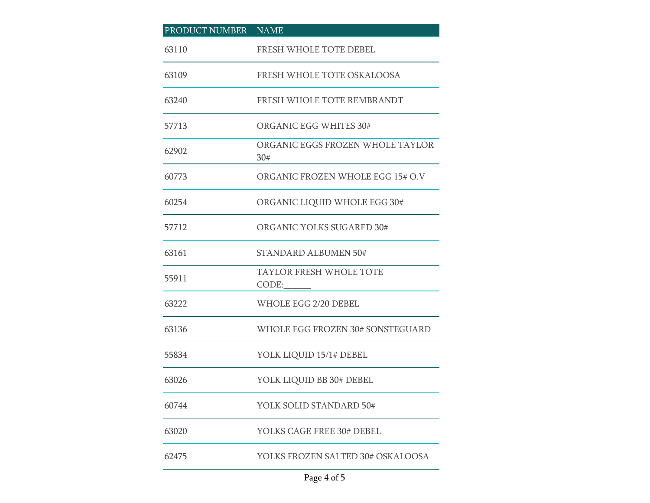| PRODUCT NUMBER NAME |                                         |
|---------------------|-----------------------------------------|
| 63110               | FRESH WHOLE TOTE DEBEL                  |
| 63109               | FRESH WHOLE TOTE OSKALOOSA              |
| 63240               | FRESH WHOLE TOTE REMBRANDT              |
| 57713               | ORGANIC EGG WHITES 30#                  |
| 62902               | ORGANIC EGGS FROZEN WHOLE TAYLOR<br>30# |
| 60773               | ORGANIC FROZEN WHOLE EGG 15# O.V        |
| 60254               | ORGANIC LIQUID WHOLE EGG 30#            |
| 57712               | ORGANIC YOLKS SUGARED 30#               |
| 63161               | <b>STANDARD ALBUMEN 50#</b>             |
| 55911               | <b>TAYLOR FRESH WHOLE TOTE</b><br>CODE: |
| 63222               | WHOLE EGG 2/20 DEBEL                    |
| 63136               | WHOLE EGG FROZEN 30# SONSTEGUARD        |
| 55834               | YOLK LIQUID 15/1# DEBEL                 |
| 63026               | YOLK LIQUID BB 30# DEBEL                |
| 60744               | YOLK SOLID STANDARD 50#                 |
| 63020               | YOLKS CAGE FREE 30# DEBEL               |
| 62475               | YOLKS FROZEN SALTED 30# OSKALOOSA       |